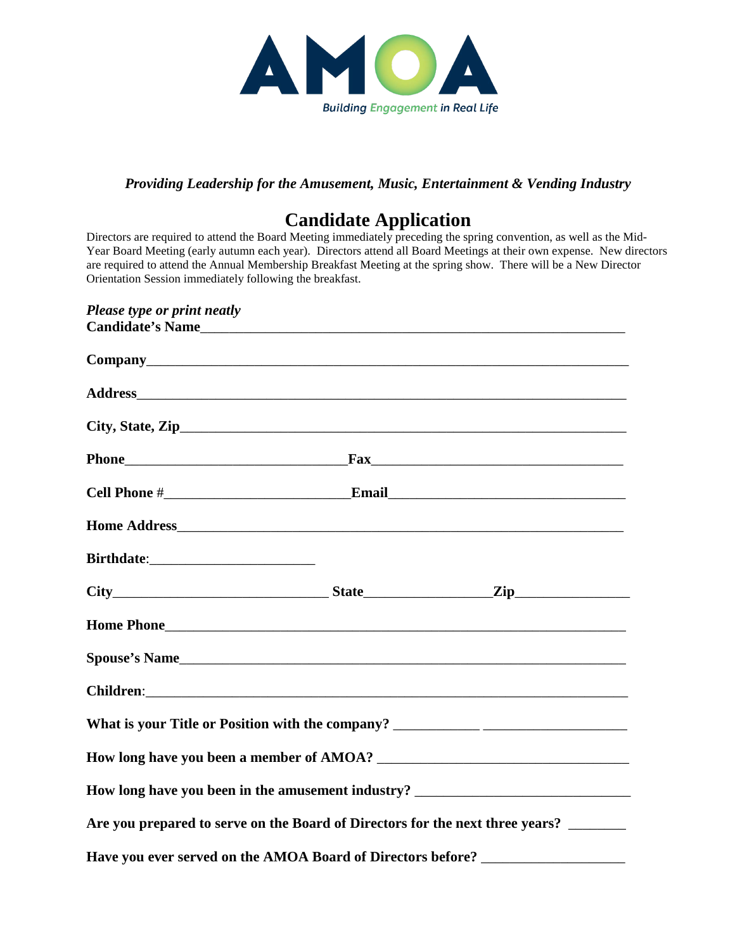

## *Providing Leadership for the Amusement, Music, Entertainment & Vending Industry*

## **Candidate Application**

Directors are required to attend the Board Meeting immediately preceding the spring convention, as well as the Mid-Year Board Meeting (early autumn each year). Directors attend all Board Meetings at their own expense. New directors are required to attend the Annual Membership Breakfast Meeting at the spring show. There will be a New Director Orientation Session immediately following the breakfast.

| Please type or print neatly                                                       |  |
|-----------------------------------------------------------------------------------|--|
|                                                                                   |  |
|                                                                                   |  |
|                                                                                   |  |
|                                                                                   |  |
|                                                                                   |  |
|                                                                                   |  |
|                                                                                   |  |
|                                                                                   |  |
|                                                                                   |  |
|                                                                                   |  |
|                                                                                   |  |
| What is your Title or Position with the company? ________________________________ |  |
|                                                                                   |  |
| How long have you been in the amusement industry? _______________________________ |  |
| Are you prepared to serve on the Board of Directors for the next three years?     |  |
| Have you ever served on the AMOA Board of Directors before? ____________________  |  |